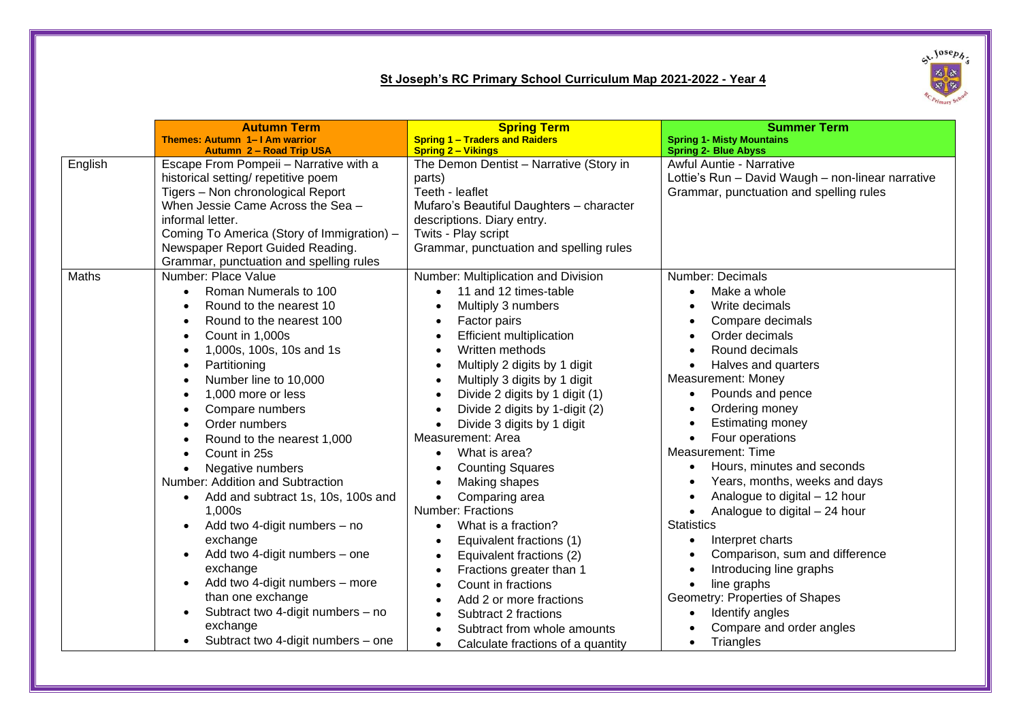## **St Joseph's RC Primary School Curriculum Map 2021-2022 - Year 4**



|         | <b>Autumn Term</b>                              | <b>Spring Term</b>                             | <b>Summer Term</b>                                |
|---------|-------------------------------------------------|------------------------------------------------|---------------------------------------------------|
|         | Themes: Autumn 1– I Am warrior                  | <b>Spring 1 - Traders and Raiders</b>          | <b>Spring 1- Misty Mountains</b>                  |
|         | Autumn 2 - Road Trip USA                        | <b>Spring 2 - Vikings</b>                      | <b>Spring 2- Blue Abyss</b>                       |
| English | Escape From Pompeii - Narrative with a          | The Demon Dentist - Narrative (Story in        | <b>Awful Auntie - Narrative</b>                   |
|         | historical setting/ repetitive poem             | parts)                                         | Lottie's Run - David Waugh - non-linear narrative |
|         | Tigers - Non chronological Report               | Teeth - leaflet                                | Grammar, punctuation and spelling rules           |
|         | When Jessie Came Across the Sea -               | Mufaro's Beautiful Daughters - character       |                                                   |
|         | informal letter.                                | descriptions. Diary entry.                     |                                                   |
|         | Coming To America (Story of Immigration) -      | Twits - Play script                            |                                                   |
|         | Newspaper Report Guided Reading.                | Grammar, punctuation and spelling rules        |                                                   |
|         | Grammar, punctuation and spelling rules         |                                                |                                                   |
| Maths   | Number: Place Value                             | Number: Multiplication and Division            | Number: Decimals                                  |
|         | Roman Numerals to 100<br>$\bullet$              | 11 and 12 times-table<br>$\bullet$             | Make a whole                                      |
|         | Round to the nearest 10<br>٠                    | Multiply 3 numbers                             | Write decimals                                    |
|         | Round to the nearest 100                        | Factor pairs<br>$\bullet$                      | Compare decimals                                  |
|         | Count in 1,000s<br>٠                            | <b>Efficient multiplication</b><br>$\bullet$   | Order decimals                                    |
|         | 1,000s, 100s, 10s and 1s                        | Written methods<br>$\bullet$                   | Round decimals                                    |
|         | Partitioning                                    | Multiply 2 digits by 1 digit<br>$\bullet$      | Halves and quarters                               |
|         | Number line to 10,000<br>$\bullet$              | Multiply 3 digits by 1 digit<br>$\bullet$      | Measurement: Money                                |
|         | 1,000 more or less                              | Divide 2 digits by 1 digit (1)<br>$\bullet$    | Pounds and pence<br>$\bullet$                     |
|         | Compare numbers<br>٠                            | Divide 2 digits by 1-digit (2)<br>$\bullet$    | Ordering money                                    |
|         | Order numbers<br>$\bullet$                      | Divide 3 digits by 1 digit<br>$\bullet$        | <b>Estimating money</b>                           |
|         | Round to the nearest 1,000<br>$\bullet$         | Measurement: Area                              | Four operations                                   |
|         | Count in 25s<br>$\bullet$                       | What is area?<br>$\bullet$                     | Measurement: Time                                 |
|         | Negative numbers<br>$\bullet$                   | <b>Counting Squares</b><br>$\bullet$           | Hours, minutes and seconds                        |
|         | Number: Addition and Subtraction                | Making shapes<br>$\bullet$                     | Years, months, weeks and days                     |
|         | Add and subtract 1s, 10s, 100s and<br>$\bullet$ | Comparing area<br>$\bullet$                    | Analogue to digital - 12 hour                     |
|         | 1,000s                                          | <b>Number: Fractions</b>                       | Analogue to digital - 24 hour<br>$\bullet$        |
|         | Add two 4-digit numbers - no<br>$\bullet$       | What is a fraction?<br>$\bullet$               | <b>Statistics</b>                                 |
|         | exchange                                        | Equivalent fractions (1)<br>$\bullet$          | Interpret charts<br>$\bullet$                     |
|         | Add two 4-digit numbers - one<br>$\bullet$      | Equivalent fractions (2)                       | Comparison, sum and difference<br>$\bullet$       |
|         | exchange                                        | Fractions greater than 1                       | Introducing line graphs<br>$\bullet$              |
|         | Add two 4-digit numbers - more<br>$\bullet$     | Count in fractions                             | line graphs                                       |
|         | than one exchange                               | Add 2 or more fractions<br>$\bullet$           | Geometry: Properties of Shapes                    |
|         | Subtract two 4-digit numbers - no<br>$\bullet$  | Subtract 2 fractions                           | Identify angles                                   |
|         | exchange                                        | Subtract from whole amounts                    | Compare and order angles                          |
|         | Subtract two 4-digit numbers - one              | Calculate fractions of a quantity<br>$\bullet$ | Triangles                                         |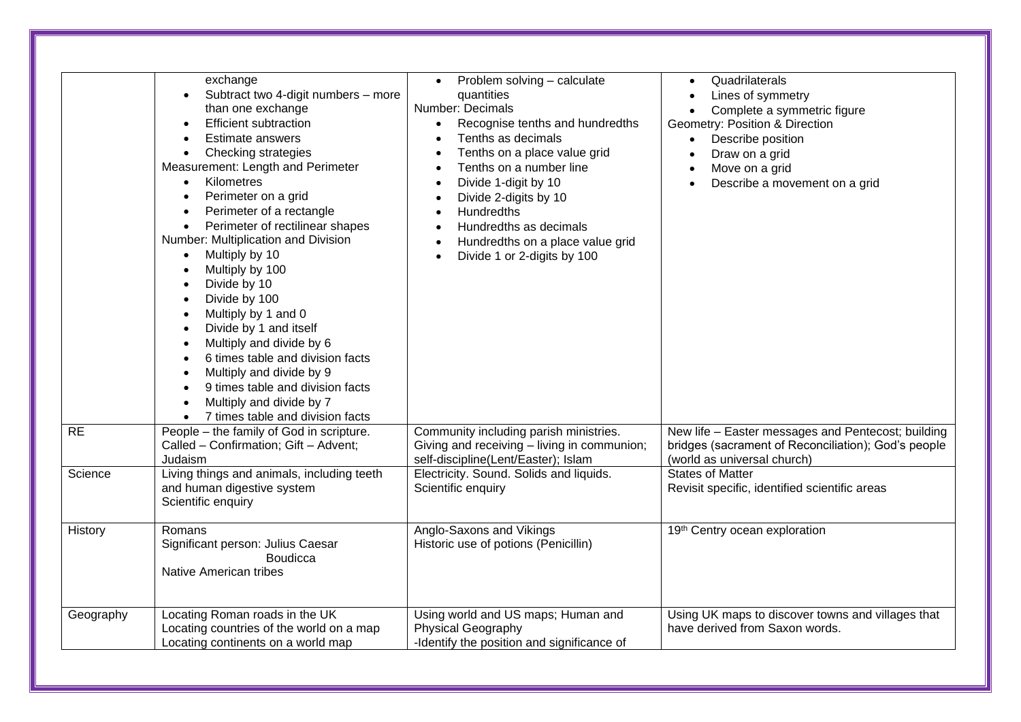|           | exchange<br>Subtract two 4-digit numbers - more<br>than one exchange<br><b>Efficient subtraction</b><br><b>Estimate answers</b><br>Checking strategies<br>$\bullet$<br>Measurement: Length and Perimeter<br>Kilometres<br>$\bullet$<br>Perimeter on a grid<br>Perimeter of a rectangle<br>$\bullet$<br>Perimeter of rectilinear shapes<br>Number: Multiplication and Division<br>Multiply by 10<br>$\bullet$<br>Multiply by 100<br>Divide by 10<br>Divide by 100<br>$\bullet$<br>Multiply by 1 and 0<br>$\bullet$<br>Divide by 1 and itself<br>$\bullet$<br>Multiply and divide by 6<br>$\bullet$<br>6 times table and division facts<br>$\bullet$<br>Multiply and divide by 9<br>9 times table and division facts<br>Multiply and divide by 7<br>7 times table and division facts | Problem solving - calculate<br>$\bullet$<br>quantities<br>Number: Decimals<br>Recognise tenths and hundredths<br>$\bullet$<br>Tenths as decimals<br>$\bullet$<br>Tenths on a place value grid<br>$\bullet$<br>Tenths on a number line<br>$\bullet$<br>Divide 1-digit by 10<br>$\bullet$<br>Divide 2-digits by 10<br>$\bullet$<br><b>Hundredths</b><br>$\bullet$<br>Hundredths as decimals<br>$\bullet$<br>Hundredths on a place value grid<br>$\bullet$<br>Divide 1 or 2-digits by 100<br>$\bullet$ | Quadrilaterals<br>$\bullet$<br>Lines of symmetry<br>$\bullet$<br>Complete a symmetric figure<br>$\bullet$<br>Geometry: Position & Direction<br>Describe position<br>$\bullet$<br>Draw on a grid<br>$\bullet$<br>Move on a grid<br>$\bullet$<br>Describe a movement on a grid<br>$\bullet$ |
|-----------|------------------------------------------------------------------------------------------------------------------------------------------------------------------------------------------------------------------------------------------------------------------------------------------------------------------------------------------------------------------------------------------------------------------------------------------------------------------------------------------------------------------------------------------------------------------------------------------------------------------------------------------------------------------------------------------------------------------------------------------------------------------------------------|-----------------------------------------------------------------------------------------------------------------------------------------------------------------------------------------------------------------------------------------------------------------------------------------------------------------------------------------------------------------------------------------------------------------------------------------------------------------------------------------------------|-------------------------------------------------------------------------------------------------------------------------------------------------------------------------------------------------------------------------------------------------------------------------------------------|
| <b>RE</b> | People - the family of God in scripture.<br>Called - Confirmation; Gift - Advent;<br>Judaism                                                                                                                                                                                                                                                                                                                                                                                                                                                                                                                                                                                                                                                                                       | Community including parish ministries.<br>Giving and receiving - living in communion;<br>self-discipline(Lent/Easter); Islam                                                                                                                                                                                                                                                                                                                                                                        | New life - Easter messages and Pentecost; building<br>bridges (sacrament of Reconciliation); God's people<br>(world as universal church)                                                                                                                                                  |
| Science   | Living things and animals, including teeth<br>and human digestive system<br>Scientific enquiry                                                                                                                                                                                                                                                                                                                                                                                                                                                                                                                                                                                                                                                                                     | Electricity. Sound. Solids and liquids.<br>Scientific enquiry                                                                                                                                                                                                                                                                                                                                                                                                                                       | <b>States of Matter</b><br>Revisit specific, identified scientific areas                                                                                                                                                                                                                  |
| History   | Romans<br>Significant person: Julius Caesar<br><b>Boudicca</b><br><b>Native American tribes</b>                                                                                                                                                                                                                                                                                                                                                                                                                                                                                                                                                                                                                                                                                    | Anglo-Saxons and Vikings<br>Historic use of potions (Penicillin)                                                                                                                                                                                                                                                                                                                                                                                                                                    | 19th Centry ocean exploration                                                                                                                                                                                                                                                             |
| Geography | Locating Roman roads in the UK<br>Locating countries of the world on a map<br>Locating continents on a world map                                                                                                                                                                                                                                                                                                                                                                                                                                                                                                                                                                                                                                                                   | Using world and US maps; Human and<br><b>Physical Geography</b><br>-Identify the position and significance of                                                                                                                                                                                                                                                                                                                                                                                       | Using UK maps to discover towns and villages that<br>have derived from Saxon words.                                                                                                                                                                                                       |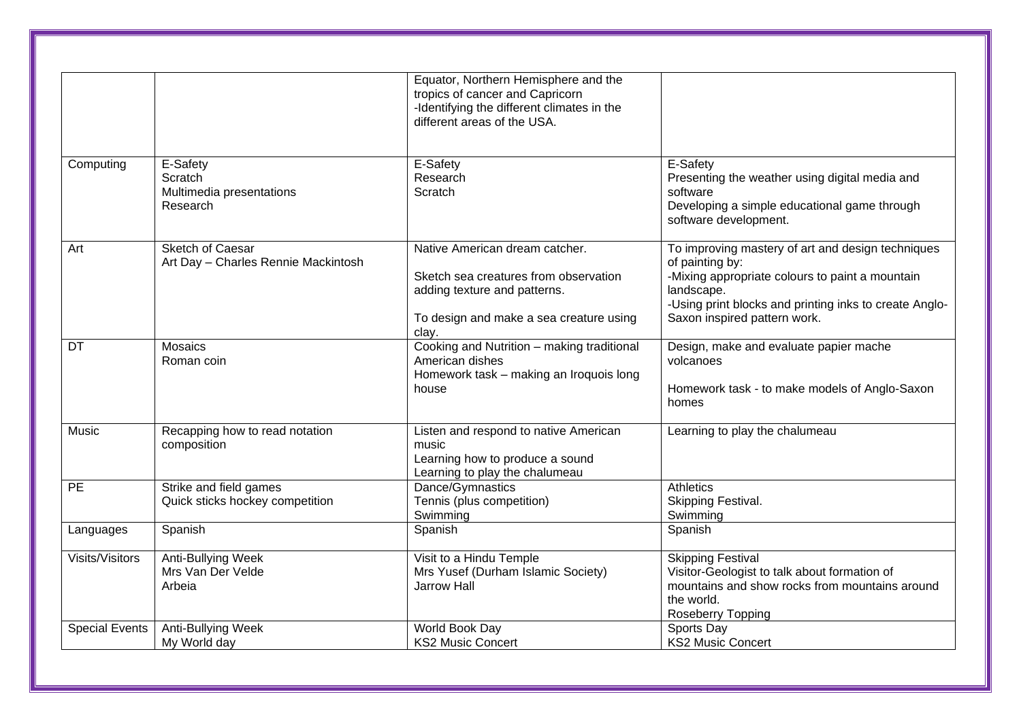|                        |                                                             | Equator, Northern Hemisphere and the<br>tropics of cancer and Capricorn<br>-Identifying the different climates in the<br>different areas of the USA.        |                                                                                                                                                                                                                                 |
|------------------------|-------------------------------------------------------------|-------------------------------------------------------------------------------------------------------------------------------------------------------------|---------------------------------------------------------------------------------------------------------------------------------------------------------------------------------------------------------------------------------|
| Computing              | E-Safety<br>Scratch<br>Multimedia presentations<br>Research | E-Safety<br>Research<br>Scratch                                                                                                                             | E-Safety<br>Presenting the weather using digital media and<br>software<br>Developing a simple educational game through<br>software development.                                                                                 |
| Art                    | Sketch of Caesar<br>Art Day - Charles Rennie Mackintosh     | Native American dream catcher.<br>Sketch sea creatures from observation<br>adding texture and patterns.<br>To design and make a sea creature using<br>clay. | To improving mastery of art and design techniques<br>of painting by:<br>-Mixing appropriate colours to paint a mountain<br>landscape.<br>-Using print blocks and printing inks to create Anglo-<br>Saxon inspired pattern work. |
| DT                     | <b>Mosaics</b><br>Roman coin                                | Cooking and Nutrition - making traditional<br>American dishes<br>Homework task - making an Iroquois long<br>house                                           | Design, make and evaluate papier mache<br>volcanoes<br>Homework task - to make models of Anglo-Saxon<br>homes                                                                                                                   |
| Music                  | Recapping how to read notation<br>composition               | Listen and respond to native American<br>music<br>Learning how to produce a sound<br>Learning to play the chalumeau                                         | Learning to play the chalumeau                                                                                                                                                                                                  |
| $\overline{PE}$        | Strike and field games<br>Quick sticks hockey competition   | Dance/Gymnastics<br>Tennis (plus competition)<br>Swimming                                                                                                   | <b>Athletics</b><br>Skipping Festival.<br>Swimming                                                                                                                                                                              |
| Languages              | Spanish                                                     | Spanish                                                                                                                                                     | Spanish                                                                                                                                                                                                                         |
| <b>Visits/Visitors</b> | Anti-Bullying Week<br>Mrs Van Der Velde<br>Arbeia           | Visit to a Hindu Temple<br>Mrs Yusef (Durham Islamic Society)<br><b>Jarrow Hall</b>                                                                         | <b>Skipping Festival</b><br>Visitor-Geologist to talk about formation of<br>mountains and show rocks from mountains around<br>the world.<br>Roseberry Topping                                                                   |
| <b>Special Events</b>  | <b>Anti-Bullying Week</b><br>My World day                   | World Book Day<br><b>KS2 Music Concert</b>                                                                                                                  | Sports Day<br><b>KS2 Music Concert</b>                                                                                                                                                                                          |